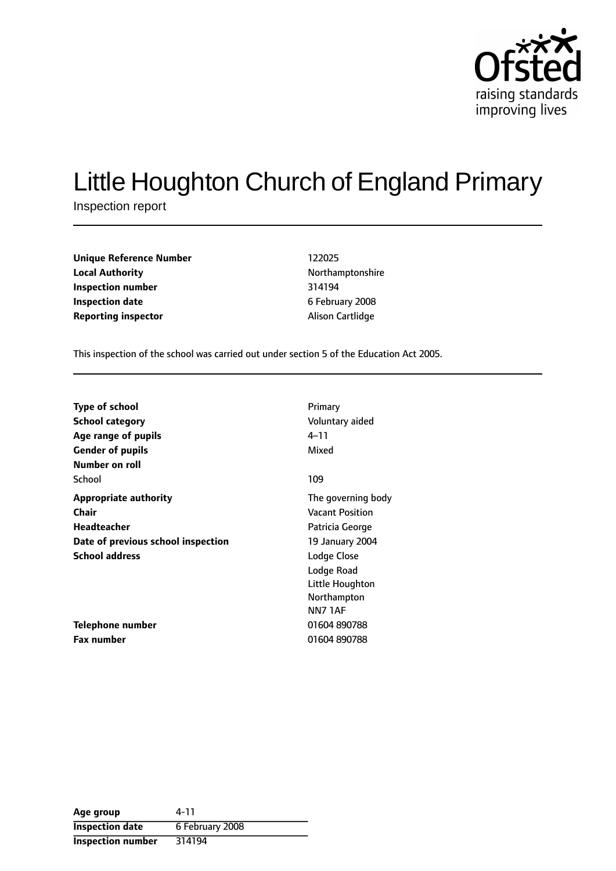

# Little Houghton Church of England Primary

Inspection report

**Unique Reference Number** 122025 **Local Authority Northamptonshire Inspection number** 314194 **Inspection date** 6 February 2008 **Reporting inspector Alison Cartlidge** 

This inspection of the school was carried out under section 5 of the Education Act 2005.

| Type of school                     | Primary                |
|------------------------------------|------------------------|
| <b>School category</b>             | Voluntary aided        |
| Age range of pupils                | 4–11                   |
| <b>Gender of pupils</b>            | Mixed                  |
| Number on roll                     |                        |
| School                             | 109                    |
| <b>Appropriate authority</b>       | The governing body     |
| Chair                              | <b>Vacant Position</b> |
| Headteacher                        | Patricia George        |
| Date of previous school inspection | 19 January 2004        |
| <b>School address</b>              | Lodge Close            |
|                                    | Lodge Road             |
|                                    | Little Houghton        |
|                                    | Northampton            |
|                                    | NN71AF                 |
| Telephone number                   | 01604890788            |
| <b>Fax number</b>                  | 01604890788            |

| Age group              | 4-11            |
|------------------------|-----------------|
| <b>Inspection date</b> | 6 February 2008 |
| Inspection number      | 314194          |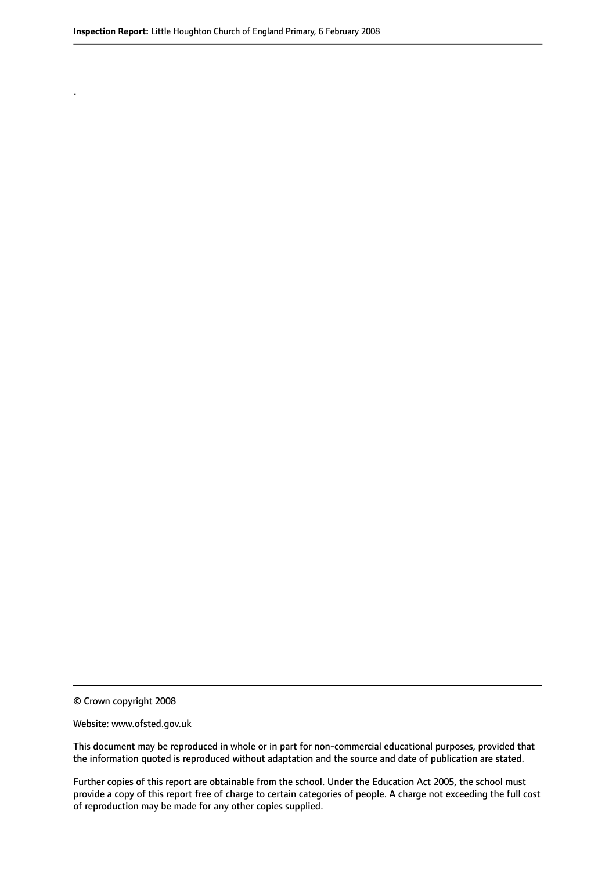.

© Crown copyright 2008

#### Website: www.ofsted.gov.uk

This document may be reproduced in whole or in part for non-commercial educational purposes, provided that the information quoted is reproduced without adaptation and the source and date of publication are stated.

Further copies of this report are obtainable from the school. Under the Education Act 2005, the school must provide a copy of this report free of charge to certain categories of people. A charge not exceeding the full cost of reproduction may be made for any other copies supplied.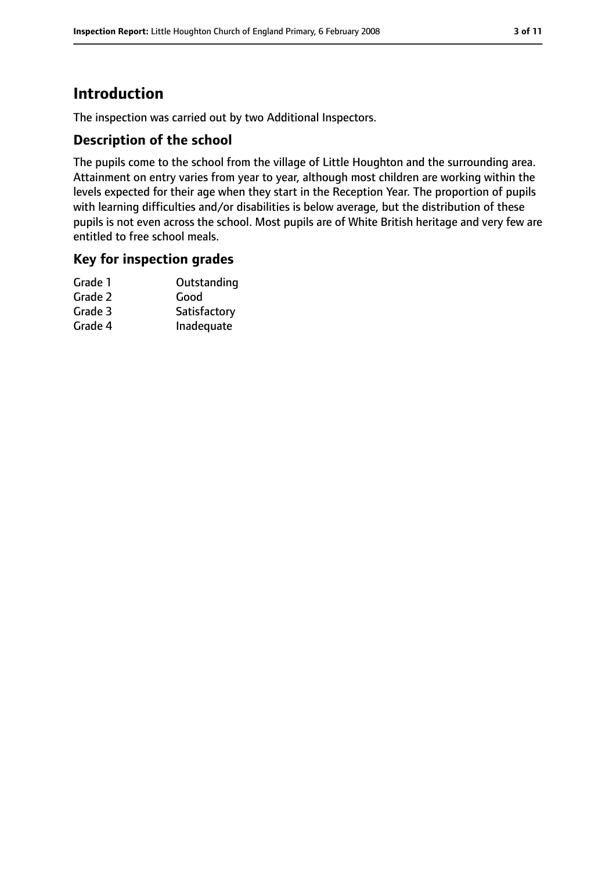# **Introduction**

The inspection was carried out by two Additional Inspectors.

### **Description of the school**

The pupils come to the school from the village of Little Houghton and the surrounding area. Attainment on entry varies from year to year, although most children are working within the levels expected for their age when they start in the Reception Year. The proportion of pupils with learning difficulties and/or disabilities is below average, but the distribution of these pupils is not even across the school. Most pupils are of White British heritage and very few are entitled to free school meals.

### **Key for inspection grades**

| Grade 1 | Outstanding  |
|---------|--------------|
| Grade 2 | Good         |
| Grade 3 | Satisfactory |
| Grade 4 | Inadequate   |
|         |              |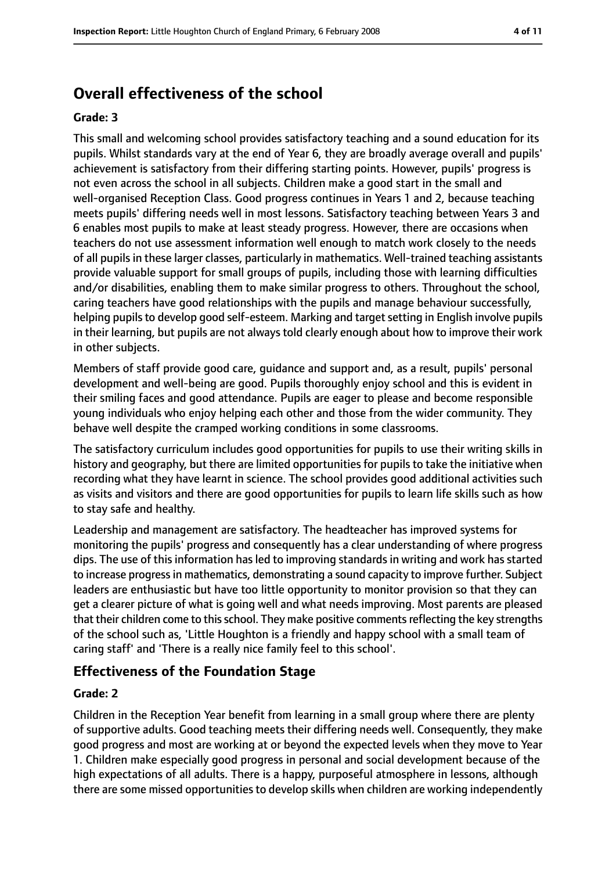# **Overall effectiveness of the school**

#### **Grade: 3**

This small and welcoming school provides satisfactory teaching and a sound education for its pupils. Whilst standards vary at the end of Year 6, they are broadly average overall and pupils' achievement is satisfactory from their differing starting points. However, pupils' progress is not even across the school in all subjects. Children make a good start in the small and well-organised Reception Class. Good progress continues in Years 1 and 2, because teaching meets pupils' differing needs well in most lessons. Satisfactory teaching between Years 3 and 6 enables most pupils to make at least steady progress. However, there are occasions when teachers do not use assessment information well enough to match work closely to the needs of all pupils in these larger classes, particularly in mathematics. Well-trained teaching assistants provide valuable support for small groups of pupils, including those with learning difficulties and/or disabilities, enabling them to make similar progress to others. Throughout the school, caring teachers have good relationships with the pupils and manage behaviour successfully, helping pupils to develop good self-esteem. Marking and target setting in English involve pupils in their learning, but pupils are not always told clearly enough about how to improve their work in other subjects.

Members of staff provide good care, guidance and support and, as a result, pupils' personal development and well-being are good. Pupils thoroughly enjoy school and this is evident in their smiling faces and good attendance. Pupils are eager to please and become responsible young individuals who enjoy helping each other and those from the wider community. They behave well despite the cramped working conditions in some classrooms.

The satisfactory curriculum includes good opportunities for pupils to use their writing skills in history and geography, but there are limited opportunities for pupils to take the initiative when recording what they have learnt in science. The school provides good additional activities such as visits and visitors and there are good opportunities for pupils to learn life skills such as how to stay safe and healthy.

Leadership and management are satisfactory. The headteacher has improved systems for monitoring the pupils' progress and consequently has a clear understanding of where progress dips. The use of this information has led to improving standards in writing and work has started to increase progressin mathematics, demonstrating a sound capacity to improve further. Subject leaders are enthusiastic but have too little opportunity to monitor provision so that they can get a clearer picture of what is going well and what needs improving. Most parents are pleased that their children come to this school. They make positive comments reflecting the key strengths of the school such as, 'Little Houghton is a friendly and happy school with a small team of caring staff' and 'There is a really nice family feel to this school'.

### **Effectiveness of the Foundation Stage**

#### **Grade: 2**

Children in the Reception Year benefit from learning in a small group where there are plenty of supportive adults. Good teaching meets their differing needs well. Consequently, they make good progress and most are working at or beyond the expected levels when they move to Year 1. Children make especially good progress in personal and social development because of the high expectations of all adults. There is a happy, purposeful atmosphere in lessons, although there are some missed opportunities to develop skills when children are working independently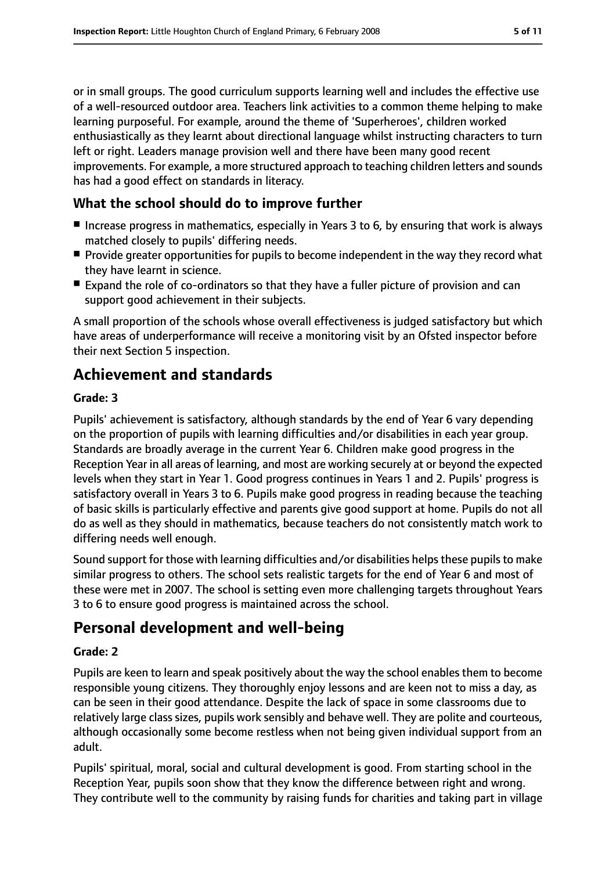or in small groups. The good curriculum supports learning well and includes the effective use of a well-resourced outdoor area. Teachers link activities to a common theme helping to make learning purposeful. For example, around the theme of 'Superheroes', children worked enthusiastically as they learnt about directional language whilst instructing characters to turn left or right. Leaders manage provision well and there have been many good recent improvements. For example, a more structured approach to teaching children letters and sounds has had a good effect on standards in literacy.

# **What the school should do to improve further**

- Increase progress in mathematics, especially in Years 3 to 6, by ensuring that work is always matched closely to pupils' differing needs.
- Provide greater opportunities for pupils to become independent in the way they record what they have learnt in science.
- Expand the role of co-ordinators so that they have a fuller picture of provision and can support good achievement in their subjects.

A small proportion of the schools whose overall effectiveness is judged satisfactory but which have areas of underperformance will receive a monitoring visit by an Ofsted inspector before their next Section 5 inspection.

# **Achievement and standards**

#### **Grade: 3**

Pupils' achievement is satisfactory, although standards by the end of Year 6 vary depending on the proportion of pupils with learning difficulties and/or disabilities in each year group. Standards are broadly average in the current Year 6. Children make good progress in the Reception Year in all areas of learning, and most are working securely at or beyond the expected levels when they start in Year 1. Good progress continues in Years 1 and 2. Pupils' progress is satisfactory overall in Years 3 to 6. Pupils make good progress in reading because the teaching of basic skills is particularly effective and parents give good support at home. Pupils do not all do as well as they should in mathematics, because teachers do not consistently match work to differing needs well enough.

Sound support for those with learning difficulties and/or disabilities helps these pupils to make similar progress to others. The school sets realistic targets for the end of Year 6 and most of these were met in 2007. The school is setting even more challenging targets throughout Years 3 to 6 to ensure good progress is maintained across the school.

# **Personal development and well-being**

#### **Grade: 2**

Pupils are keen to learn and speak positively about the way the school enables them to become responsible young citizens. They thoroughly enjoy lessons and are keen not to miss a day, as can be seen in their good attendance. Despite the lack of space in some classrooms due to relatively large class sizes, pupils work sensibly and behave well. They are polite and courteous, although occasionally some become restless when not being given individual support from an adult.

Pupils' spiritual, moral, social and cultural development is good. From starting school in the Reception Year, pupils soon show that they know the difference between right and wrong. They contribute well to the community by raising funds for charities and taking part in village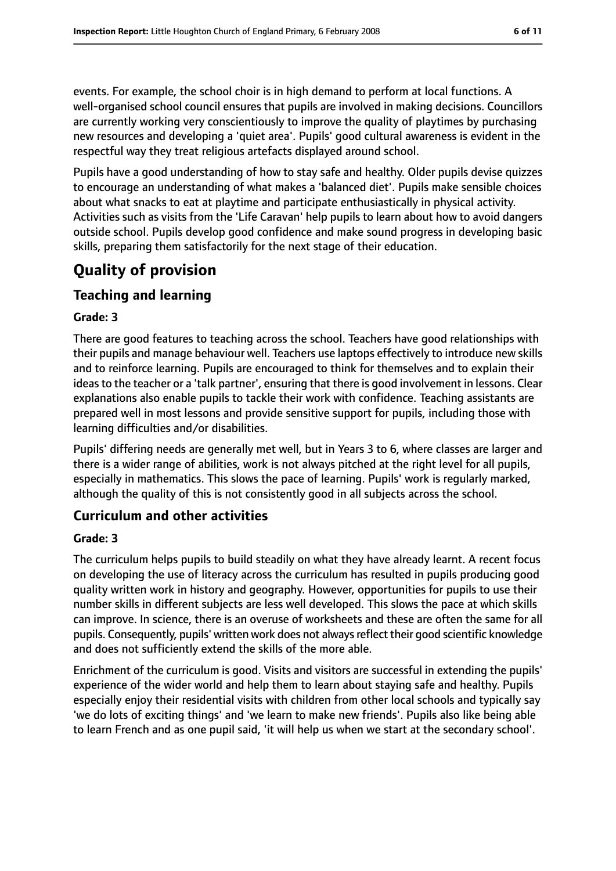events. For example, the school choir is in high demand to perform at local functions. A well-organised school council ensures that pupils are involved in making decisions. Councillors are currently working very conscientiously to improve the quality of playtimes by purchasing new resources and developing a 'quiet area'. Pupils' good cultural awareness is evident in the respectful way they treat religious artefacts displayed around school.

Pupils have a good understanding of how to stay safe and healthy. Older pupils devise quizzes to encourage an understanding of what makes a 'balanced diet'. Pupils make sensible choices about what snacks to eat at playtime and participate enthusiastically in physical activity. Activities such as visits from the 'Life Caravan' help pupils to learn about how to avoid dangers outside school. Pupils develop good confidence and make sound progress in developing basic skills, preparing them satisfactorily for the next stage of their education.

# **Quality of provision**

# **Teaching and learning**

### **Grade: 3**

There are good features to teaching across the school. Teachers have good relationships with their pupils and manage behaviour well. Teachers use laptops effectively to introduce new skills and to reinforce learning. Pupils are encouraged to think for themselves and to explain their ideasto the teacher or a 'talk partner', ensuring that there is good involvement in lessons. Clear explanations also enable pupils to tackle their work with confidence. Teaching assistants are prepared well in most lessons and provide sensitive support for pupils, including those with learning difficulties and/or disabilities.

Pupils' differing needs are generally met well, but in Years 3 to 6, where classes are larger and there is a wider range of abilities, work is not always pitched at the right level for all pupils, especially in mathematics. This slows the pace of learning. Pupils' work is regularly marked, although the quality of this is not consistently good in all subjects across the school.

# **Curriculum and other activities**

### **Grade: 3**

The curriculum helps pupils to build steadily on what they have already learnt. A recent focus on developing the use of literacy across the curriculum has resulted in pupils producing good quality written work in history and geography. However, opportunities for pupils to use their number skills in different subjects are less well developed. This slows the pace at which skills can improve. In science, there is an overuse of worksheets and these are often the same for all pupils. Consequently, pupils' written work does not always reflect their good scientific knowledge and does not sufficiently extend the skills of the more able.

Enrichment of the curriculum is good. Visits and visitors are successful in extending the pupils' experience of the wider world and help them to learn about staying safe and healthy. Pupils especially enjoy their residential visits with children from other local schools and typically say 'we do lots of exciting things' and 'we learn to make new friends'. Pupils also like being able to learn French and as one pupil said, 'it will help us when we start at the secondary school'.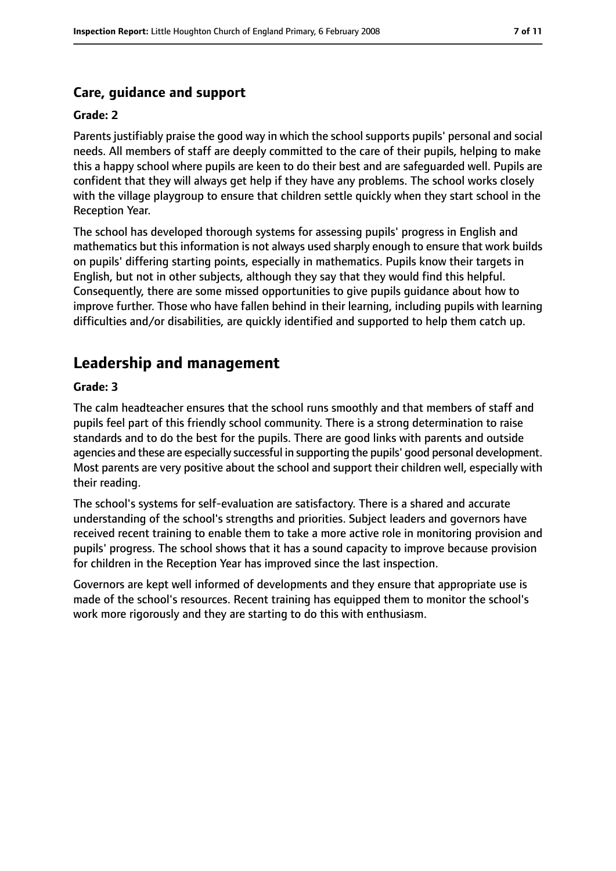## **Care, guidance and support**

#### **Grade: 2**

Parents justifiably praise the good way in which the school supports pupils' personal and social needs. All members of staff are deeply committed to the care of their pupils, helping to make this a happy school where pupils are keen to do their best and are safeguarded well. Pupils are confident that they will always get help if they have any problems. The school works closely with the village playgroup to ensure that children settle quickly when they start school in the Reception Year.

The school has developed thorough systems for assessing pupils' progress in English and mathematics but this information is not always used sharply enough to ensure that work builds on pupils' differing starting points, especially in mathematics. Pupils know their targets in English, but not in other subjects, although they say that they would find this helpful. Consequently, there are some missed opportunities to give pupils guidance about how to improve further. Those who have fallen behind in their learning, including pupils with learning difficulties and/or disabilities, are quickly identified and supported to help them catch up.

# **Leadership and management**

#### **Grade: 3**

The calm headteacher ensures that the school runs smoothly and that members of staff and pupils feel part of this friendly school community. There is a strong determination to raise standards and to do the best for the pupils. There are good links with parents and outside agencies and these are especially successful in supporting the pupils' good personal development. Most parents are very positive about the school and support their children well, especially with their reading.

The school's systems for self-evaluation are satisfactory. There is a shared and accurate understanding of the school's strengths and priorities. Subject leaders and governors have received recent training to enable them to take a more active role in monitoring provision and pupils' progress. The school shows that it has a sound capacity to improve because provision for children in the Reception Year has improved since the last inspection.

Governors are kept well informed of developments and they ensure that appropriate use is made of the school's resources. Recent training has equipped them to monitor the school's work more rigorously and they are starting to do this with enthusiasm.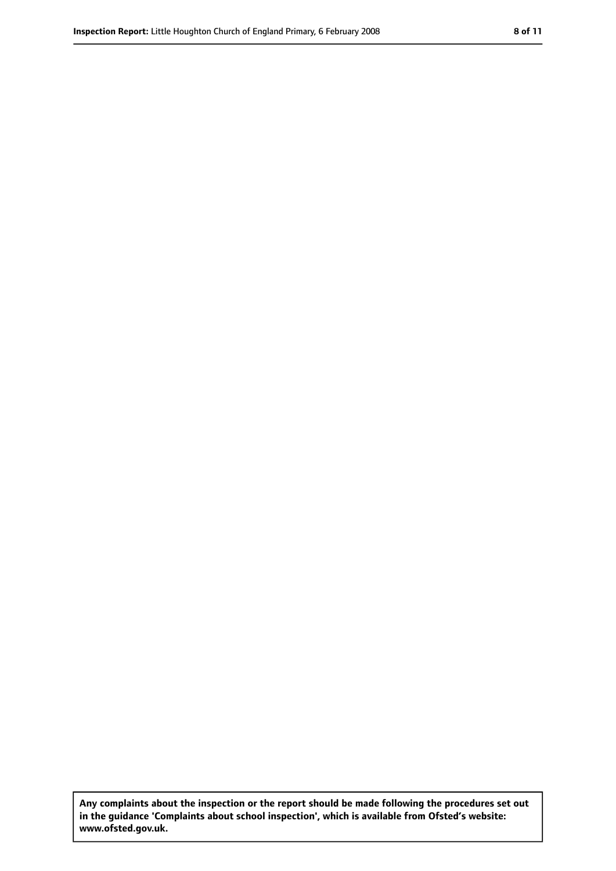**Any complaints about the inspection or the report should be made following the procedures set out in the guidance 'Complaints about school inspection', which is available from Ofsted's website: www.ofsted.gov.uk.**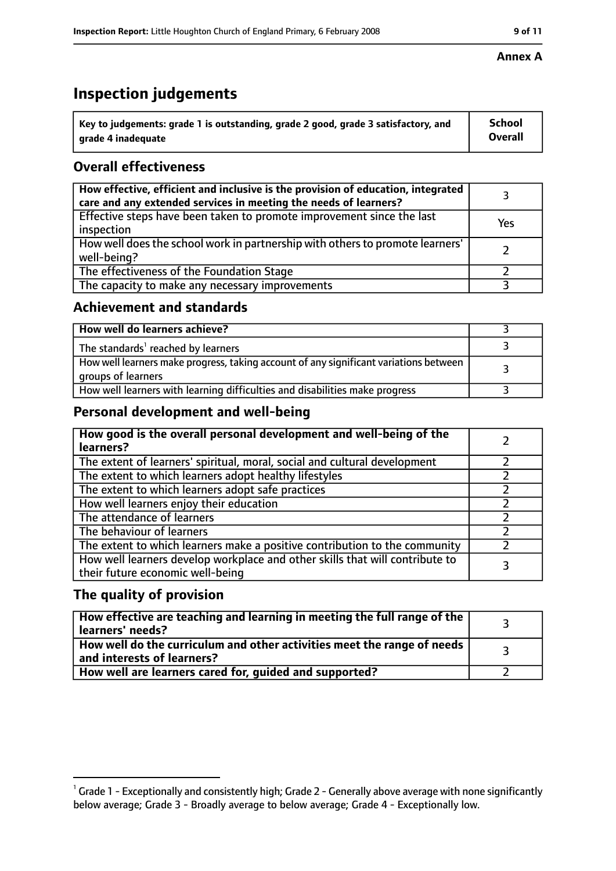# **Inspection judgements**

| $^{\backprime}$ Key to judgements: grade 1 is outstanding, grade 2 good, grade 3 satisfactory, and | <b>School</b>  |
|----------------------------------------------------------------------------------------------------|----------------|
| arade 4 inadeguate                                                                                 | <b>Overall</b> |

# **Overall effectiveness**

| How effective, efficient and inclusive is the provision of education, integrated<br>care and any extended services in meeting the needs of learners? |     |
|------------------------------------------------------------------------------------------------------------------------------------------------------|-----|
| Effective steps have been taken to promote improvement since the last<br>inspection                                                                  | Yes |
| How well does the school work in partnership with others to promote learners'<br>well-being?                                                         |     |
| The effectiveness of the Foundation Stage                                                                                                            |     |
| The capacity to make any necessary improvements                                                                                                      |     |

## **Achievement and standards**

| How well do learners achieve?                                                                               |  |
|-------------------------------------------------------------------------------------------------------------|--|
| The standards <sup>1</sup> reached by learners                                                              |  |
| How well learners make progress, taking account of any significant variations between<br>groups of learners |  |
| How well learners with learning difficulties and disabilities make progress                                 |  |

# **Personal development and well-being**

| How good is the overall personal development and well-being of the<br>learners?                                  |  |
|------------------------------------------------------------------------------------------------------------------|--|
| The extent of learners' spiritual, moral, social and cultural development                                        |  |
| The extent to which learners adopt healthy lifestyles                                                            |  |
| The extent to which learners adopt safe practices                                                                |  |
| How well learners enjoy their education                                                                          |  |
| The attendance of learners                                                                                       |  |
| The behaviour of learners                                                                                        |  |
| The extent to which learners make a positive contribution to the community                                       |  |
| How well learners develop workplace and other skills that will contribute to<br>their future economic well-being |  |

# **The quality of provision**

| How effective are teaching and learning in meeting the full range of the<br>learners' needs?          |  |
|-------------------------------------------------------------------------------------------------------|--|
| How well do the curriculum and other activities meet the range of needs<br>and interests of learners? |  |
| How well are learners cared for, guided and supported?                                                |  |

### **Annex A**

 $^1$  Grade 1 - Exceptionally and consistently high; Grade 2 - Generally above average with none significantly below average; Grade 3 - Broadly average to below average; Grade 4 - Exceptionally low.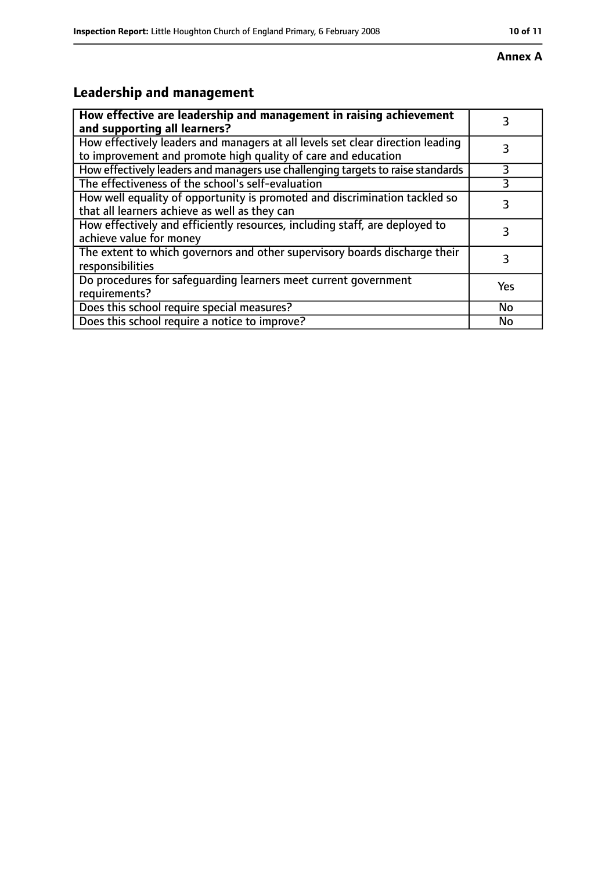#### **Annex A**

# **Leadership and management**

| How effective are leadership and management in raising achievement<br>and supporting all learners?                                              | 3         |
|-------------------------------------------------------------------------------------------------------------------------------------------------|-----------|
| How effectively leaders and managers at all levels set clear direction leading<br>to improvement and promote high quality of care and education |           |
| How effectively leaders and managers use challenging targets to raise standards                                                                 | 3         |
| The effectiveness of the school's self-evaluation                                                                                               |           |
| How well equality of opportunity is promoted and discrimination tackled so<br>that all learners achieve as well as they can                     | 3         |
| How effectively and efficiently resources, including staff, are deployed to<br>achieve value for money                                          | 3         |
| The extent to which governors and other supervisory boards discharge their<br>responsibilities                                                  | 3         |
| Do procedures for safequarding learners meet current government<br>requirements?                                                                | Yes       |
| Does this school require special measures?                                                                                                      | <b>No</b> |
| Does this school require a notice to improve?                                                                                                   | No        |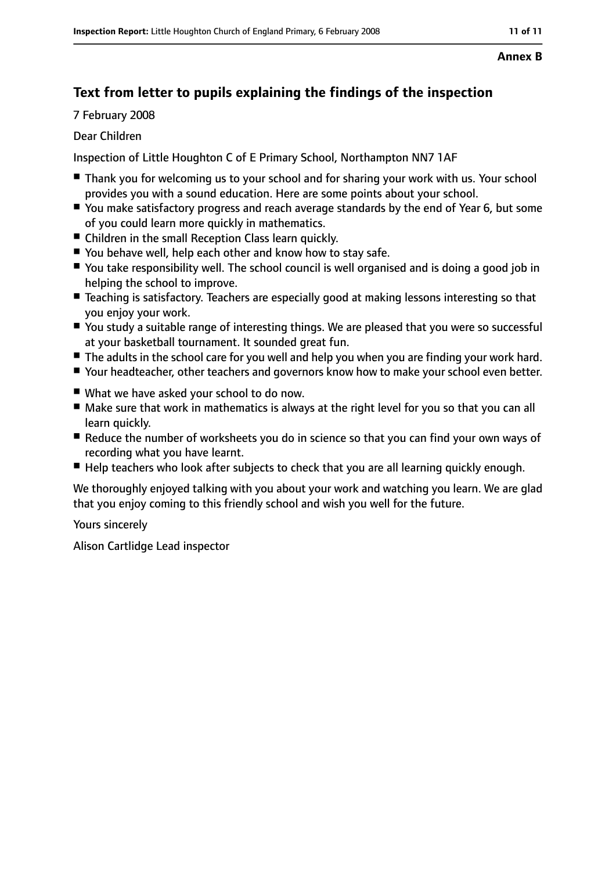#### **Annex B**

# **Text from letter to pupils explaining the findings of the inspection**

7 February 2008

#### Dear Children

Inspection of Little Houghton C of E Primary School, Northampton NN7 1AF

- Thank you for welcoming us to your school and for sharing your work with us. Your school provides you with a sound education. Here are some points about your school.
- You make satisfactory progress and reach average standards by the end of Year 6, but some of you could learn more quickly in mathematics.
- Children in the small Reception Class learn quickly.
- You behave well, help each other and know how to stay safe.
- You take responsibility well. The school council is well organised and is doing a good job in helping the school to improve.
- Teaching is satisfactory. Teachers are especially good at making lessons interesting so that you enjoy your work.
- You study a suitable range of interesting things. We are pleased that you were so successful at your basketball tournament. It sounded great fun.
- The adults in the school care for you well and help you when you are finding your work hard.
- Your headteacher, other teachers and governors know how to make your school even better.
- What we have asked your school to do now.
- Make sure that work in mathematics is always at the right level for you so that you can all learn quickly.
- Reduce the number of worksheets you do in science so that you can find your own ways of recording what you have learnt.
- Help teachers who look after subjects to check that you are all learning quickly enough.

We thoroughly enjoyed talking with you about your work and watching you learn. We are glad that you enjoy coming to this friendly school and wish you well for the future.

Yours sincerely

Alison Cartlidge Lead inspector